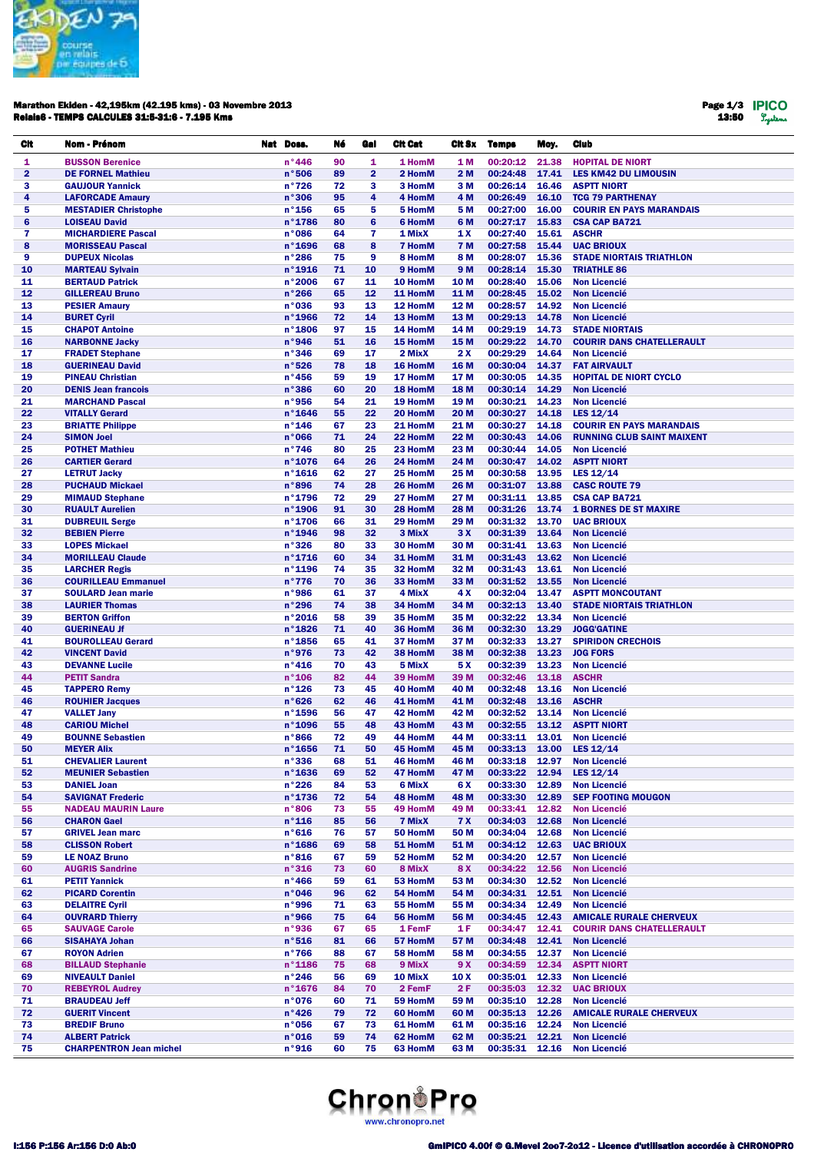

## Marathon Ekiden - 42,195km (42.195 kms) - 03 Novembre 2013 Relais6 - TEMPS CALCULES 31:5-31:6 - 7.195 Kms

Page 1/3 13:50

| Cit                     | Nom - Prénom                   | Nat Doss.        | Né | Gal            | <b>Cit Cat</b> | Cit Sx          | <b>Temps</b>   | Moy.  | <b>Club</b>                       |
|-------------------------|--------------------------------|------------------|----|----------------|----------------|-----------------|----------------|-------|-----------------------------------|
| 1                       | <b>BUSSON Berenice</b>         | n°446            | 90 | 1              | 1 HomM         | <b>1M</b>       | 00:20:12       | 21.38 | <b>HOPITAL DE NIORT</b>           |
| $\overline{\mathbf{2}}$ | <b>DE FORNEL Mathieu</b>       | n°506            | 89 | $\overline{2}$ | 2 HomM         | 2 M             | 00:24:48       | 17.41 | <b>LES KM42 DU LIMOUSIN</b>       |
| 3                       | <b>GAUJOUR Yannick</b>         | $n^{\circ}726$   | 72 | 3              | 3 HomM         | 3 M             | 00:26:14       | 16.46 | <b>ASPTT NIORT</b>                |
| 4                       | <b>LAFORCADE Amaury</b>        | n°306            | 95 | 4              | 4 HomM         | 4 M             | 00:26:49       | 16.10 | <b>TCG 79 PARTHENAY</b>           |
| 5                       | <b>MESTADIER Christophe</b>    | $n^{\circ}$ 156  | 65 | 5              | 5 HomM         | 5 M             | 00:27:00       | 16.00 | <b>COURIR EN PAYS MARANDAIS</b>   |
| $6\phantom{1}$          | <b>LOISEAU David</b>           | n°1786           | 80 | $6\phantom{1}$ | 6 HomM         | 6 M             | 00:27:17       | 15.83 | <b>CSA CAP BA721</b>              |
| 7                       | <b>MICHARDIERE Pascal</b>      | n°086            | 64 | $\overline{7}$ | 1 MixX         | 1 X             | 00:27:40       | 15.61 | <b>ASCHR</b>                      |
| 8                       | <b>MORISSEAU Pascal</b>        | $n^{\circ}$ 1696 | 68 | 8              | <b>7 HomM</b>  | <b>7 M</b>      | 00:27:58       | 15.44 | <b>UAC BRIOUX</b>                 |
| 9                       | <b>DUPEUX Nicolas</b>          | n°286            | 75 | 9              | 8 HomM         | 8 M             | 00:28:07       | 15.36 | <b>STADE NIORTAIS TRIATHLON</b>   |
| 10                      | <b>MARTEAU Sylvain</b>         | n°1916           | 71 | 10             | 9 HomM         | 9 M             | 00:28:14       | 15.30 | <b>TRIATHLE 86</b>                |
| 11                      | <b>BERTAUD Patrick</b>         | n°2006           | 67 | 11             | 10 HomM        | 10 <sub>M</sub> | 00:28:40       | 15.06 | <b>Non Licencié</b>               |
| 12                      | <b>GILLEREAU Bruno</b>         | n°266            | 65 | 12             | 11 HomM        | 11 M            | 00:28:45       | 15.02 | <b>Non Licencié</b>               |
| 13                      | <b>PESIER Amaury</b>           | n°036            | 93 | 13             | 12 HomM        | 12 M            | 00:28:57       | 14.92 | <b>Non Licencié</b>               |
| 14                      | <b>BURET Cyril</b>             | $n°$ 1966        | 72 | 14             | 13 HomM        | 13 M            | 00:29:13       | 14.78 | <b>Non Licencié</b>               |
| 15                      | <b>CHAPOT Antoine</b>          | n°1806           | 97 | 15             | 14 HomM        | 14 M            | 00:29:19       | 14.73 | <b>STADE NIORTAIS</b>             |
| 16                      | <b>NARBONNE Jacky</b>          | n°946            | 51 | 16             | 15 HomM        | 15 M            | 00:29:22       | 14.70 | <b>COURIR DANS CHATELLERAULT</b>  |
| 17                      | <b>FRADET Stephane</b>         | n°346            | 69 | 17             | 2 MixX         | 2 X             | 00:29:29       | 14.64 | <b>Non Licencié</b>               |
| 18                      | <b>GUERINEAU David</b>         | n°526            | 78 | 18             | 16 HomM        | 16 M            | 00:30:04       | 14.37 | <b>FAT AIRVAULT</b>               |
| 19                      | <b>PINEAU Christian</b>        | $n^{\circ}$ 456  | 59 | 19             | 17 HomM        | 17 M            | 00:30:05       | 14.35 | <b>HOPITAL DE NIORT CYCLO</b>     |
| 20                      | <b>DENIS Jean francois</b>     | n°386            | 60 | 20             | 18 HomM        | 18 M            | 00:30:14       | 14.29 | <b>Non Licencié</b>               |
| 21                      | <b>MARCHAND Pascal</b>         | n°956            | 54 | 21             | 19 HomM        | 19 <sub>M</sub> | 00:30:21       | 14.23 | <b>Non Licencié</b>               |
| 22                      | <b>VITALLY Gerard</b>          | n°1646           | 55 | 22             | 20 HomM        | 20 M            | 00:30:27       | 14.18 | LES 12/14                         |
| 23                      | <b>BRIATTE Philippe</b>        | $n^{\circ}$ 146  | 67 | 23             | 21 HomM        | 21 M            | 00:30:27       | 14.18 | <b>COURIR EN PAYS MARANDAIS</b>   |
| 24                      | <b>SIMON Joel</b>              | n°066            | 71 | 24             | 22 HomM        | 22 M            | 00:30:43       | 14.06 | <b>RUNNING CLUB SAINT MAIXENT</b> |
| 25                      | <b>POTHET Mathieu</b>          | $n^{\circ}746$   | 80 | 25             | 23 HomM        | 23 M            | 00:30:44       | 14.05 | <b>Non Licencié</b>               |
| 26                      | <b>CARTIER Gerard</b>          | n°1076           | 64 | 26             | 24 HomM        | 24 M            | 00:30:47       | 14.02 | <b>ASPTT NIORT</b>                |
| 27                      | <b>LETRUT Jacky</b>            | $n^{\circ}$ 1616 | 62 | 27             | 25 HomM        | 25 M            | 00:30:58       | 13.95 | LES 12/14                         |
| 28                      | <b>PUCHAUD Mickael</b>         | n°896            | 74 | 28             | 26 HomM        | 26 M            | 00:31:07       | 13.88 | <b>CASC ROUTE 79</b>              |
| 29                      | <b>MIMAUD Stephane</b>         | n°1796           | 72 | 29             | 27 HomM        | 27 M            | 00:31:11       | 13.85 | <b>CSA CAP BA721</b>              |
| 30                      | <b>RUAULT Aurelien</b>         | n°1906           | 91 | 30             | 28 HomM        | 28 M            | 00:31:26       | 13.74 | <b>1 BORNES DE ST MAXIRE</b>      |
| 31                      | <b>DUBREUIL Serge</b>          | n°1706           | 66 | 31             | 29 HomM        | 29 M            | 00:31:32       | 13.70 | <b>UAC BRIOUX</b>                 |
| 32                      | <b>BEBIEN Pierre</b>           | n°1946           | 98 | 32             | 3 MixX         | 3X              | 00:31:39       | 13.64 | <b>Non Licencié</b>               |
| 33                      | <b>LOPES Mickael</b>           | n°326            | 80 | 33             | 30 HomM        | 30 M            | 00:31:41       | 13.63 | <b>Non Licencié</b>               |
| 34                      | <b>MORILLEAU Claude</b>        | $n^{\circ}$ 1716 | 60 | 34             | 31 HomM        | 31 M            | 00:31:43       | 13.62 | <b>Non Licencié</b>               |
| 35                      | <b>LARCHER Regis</b>           | $n^{\circ}$ 1196 | 74 | 35             | 32 HomM        | 32 M            | 00:31:43       | 13.61 | <b>Non Licencié</b>               |
| 36                      | <b>COURILLEAU Emmanuel</b>     | n°776            | 70 | 36             | 33 HomM        | 33 M            | 00:31:52       | 13.55 | <b>Non Licencié</b>               |
| 37                      | <b>SOULARD Jean marie</b>      | n°986            | 61 | 37             | 4 MixX         | 4 X             | 00:32:04       | 13.47 | <b>ASPTT MONCOUTANT</b>           |
| 38                      | <b>LAURIER Thomas</b>          | n°296            | 74 | 38             | 34 HomM        | 34 M            | 00:32:13       | 13.40 | <b>STADE NIORTAIS TRIATHLON</b>   |
| 39                      | <b>BERTON Griffon</b>          | n°2016           | 58 | 39             | 35 HomM        | 35 M            | 00:32:22       | 13.34 | <b>Non Licencié</b>               |
| 40                      | <b>GUERINEAU Jf</b>            | n°1826           | 71 | 40             | 36 HomM        | 36 M            | 00:32:30       | 13.29 | <b>JOGG'GATINE</b>                |
| 41                      | <b>BOUROLLEAU Gerard</b>       | n°1856           | 65 | 41             | 37 HomM        | 37 M            | 00:32:33       | 13.27 | <b>SPIRIDON CRECHOIS</b>          |
| 42                      | <b>VINCENT David</b>           | n°976            | 73 | 42             | 38 HomM        | 38 M            | 00:32:38       | 13.23 | <b>JOG FORS</b>                   |
| 43                      | <b>DEVANNE Lucile</b>          | $n^{\circ}416$   | 70 | 43             | 5 MixX         | 5 X             | 00:32:39       | 13.23 | <b>Non Licencié</b>               |
| 44                      | <b>PETIT Sandra</b>            | $n^{\circ}$ 106  | 82 | 44             | 39 HomM        | 39 M            | 00:32:46       | 13.18 | <b>ASCHR</b>                      |
| 45                      | <b>TAPPERO Remy</b>            | $n^{\circ}$ 126  | 73 | 45             | 40 HomM        | 40 M            | 00:32:48       | 13.16 | <b>Non Licencié</b>               |
| 46                      | <b>ROUHIER Jacques</b>         | n°626            | 62 | 46             | 41 HomM        | 41 M            | 00:32:48       | 13.16 | <b>ASCHR</b>                      |
| 47                      | <b>VALLET Jany</b>             | n°1596           | 56 | 47             | 42 HomM        | 42 M            | 00:32:52       | 13.14 | <b>Non Licencié</b>               |
| 48                      | <b>CARIOU Michel</b>           | n°1096           | 55 | 48             | 43 HomM        | 43 M            | 00:32:55       | 13.12 | <b>ASPTT NIORT</b>                |
| 49                      | <b>BOUNNE Sebastien</b>        | n°866            | 72 | 49             | 44 HomM        | 44 M            | 00:33:11 13.01 |       | <b>Non Licencié</b>               |
| 50                      | <b>MEYER Alix</b>              | $n^{\circ}$ 1656 | 71 | 50             | 45 HomM        | 45 M            | 00:33:13 13.00 |       | LES $12/14$                       |
| 51                      | <b>CHEVALIER Laurent</b>       | n°336            | 68 | 51             | 46 HomM        | 46 M            | 00:33:18       | 12.97 | <b>Non Licencié</b>               |
| 52                      | <b>MEUNIER Sebastien</b>       | n°1636           | 69 | 52             | 47 HomM        | 47 M            | 00:33:22       | 12.94 | LES 12/14                         |
| 53                      | <b>DANIEL Joan</b>             | n°226            | 84 | 53             | 6 MixX         | 6 X             | 00:33:30       | 12.89 | <b>Non Licencié</b>               |
| 54                      | <b>SAVIGNAT Frederic</b>       | n°1736           | 72 | 54             | 48 HomM        | 48 M            | 00:33:30       | 12.89 | <b>SEP FOOTING MOUGON</b>         |
| 55                      | <b>NADEAU MAURIN Laure</b>     | n°806            | 73 | 55             | 49 HomM        | 49 M            | 00:33:41       | 12.82 | <b>Non Licencié</b>               |
| 56                      | <b>CHARON Gael</b>             | $n^{\circ}$ 116  | 85 | 56             | 7 MixX         | <b>7 X</b>      | 00:34:03       | 12.68 | <b>Non Licencié</b>               |
| 57                      | <b>GRIVEL Jean marc</b>        | n°616            | 76 | 57             | 50 HomM        | 50 M            | 00:34:04       | 12.68 | <b>Non Licencié</b>               |
| 58                      | <b>CLISSON Robert</b>          | n°1686           | 69 | 58             | 51 HomM        | 51 M            | 00:34:12       | 12.63 | <b>UAC BRIOUX</b>                 |
| 59                      | <b>LE NOAZ Bruno</b>           | n°816            | 67 | 59             | 52 HomM        | 52 M            | 00:34:20       | 12.57 | <b>Non Licencié</b>               |
| 60                      | <b>AUGRIS Sandrine</b>         | n°316            | 73 | 60             | 8 MixX         | 8 X             | 00:34:22       | 12.56 | <b>Non Licencié</b>               |
| 61                      | <b>PETIT Yannick</b>           | n°466            | 59 | 61             | 53 HomM        | 53 M            | 00:34:30       | 12.52 | <b>Non Licencié</b>               |
| 62                      | <b>PICARD Corentin</b>         | n°046            | 96 | 62             | 54 HomM        | 54 M            | 00:34:31       | 12.51 | <b>Non Licencié</b>               |
| 63                      | <b>DELAITRE Cyril</b>          | n°996            | 71 | 63             | 55 HomM        | 55 M            | 00:34:34       | 12.49 | <b>Non Licencié</b>               |
| 64                      | <b>OUVRARD Thierry</b>         | n°966            | 75 | 64             | 56 HomM        | 56 M            | 00:34:45       | 12.43 | <b>AMICALE RURALE CHERVEUX</b>    |
| 65                      | <b>SAUVAGE Carole</b>          | n°936            | 67 | 65             | 1 FemF         | 1 F             | 00:34:47       | 12.41 | <b>COURIR DANS CHATELLERAULT</b>  |
| 66                      | <b>SISAHAYA Johan</b>          | n°516            | 81 | 66             | 57 HomM        | 57 M            | 00:34:48       | 12.41 | <b>Non Licencié</b>               |
| 67                      | <b>ROYON Adrien</b>            | $n^{\circ}766$   | 88 | 67             | 58 HomM        | 58 M            | 00:34:55       | 12.37 | <b>Non Licencié</b>               |
| 68                      | <b>BILLAUD Stephanie</b>       | $n^{\circ}$ 1186 | 75 | 68             | 9 MixX         | 9 X             | 00:34:59       | 12.34 | <b>ASPTT NIORT</b>                |
| 69                      | <b>NIVEAULT Daniel</b>         | n°246            | 56 | 69             | 10 MixX        | 10 X            | 00:35:01       | 12.33 | <b>Non Licencié</b>               |
| 70                      | <b>REBEYROL Audrey</b>         | n°1676           | 84 | 70             | 2 FemF         | 2 F             | 00:35:03       | 12.32 | <b>UAC BRIOUX</b>                 |
| 71                      | <b>BRAUDEAU Jeff</b>           | n°076            | 60 | 71             | 59 HomM        | 59 M            | 00:35:10       | 12.28 | <b>Non Licencié</b>               |
| 72                      | <b>GUERIT Vincent</b>          | n°426            | 79 | 72             | 60 HomM        | 60 M            | 00:35:13       | 12.26 | <b>AMICALE RURALE CHERVEUX</b>    |
| 73                      | <b>BREDIF Bruno</b>            | n°056            | 67 | 73             | 61 HomM        | 61 M            | 00:35:16       | 12.24 | <b>Non Licencié</b>               |
| 74                      | <b>ALBERT Patrick</b>          | n°016            | 59 | 74             | 62 HomM        | 62 M            | 00:35:21 12.21 |       | <b>Non Licencié</b>               |
| 75                      | <b>CHARPENTRON Jean michel</b> | n°916            | 60 | 75             | 63 HomM        | 63 M            | 00:35:31 12.16 |       | <b>Non Licencié</b>               |

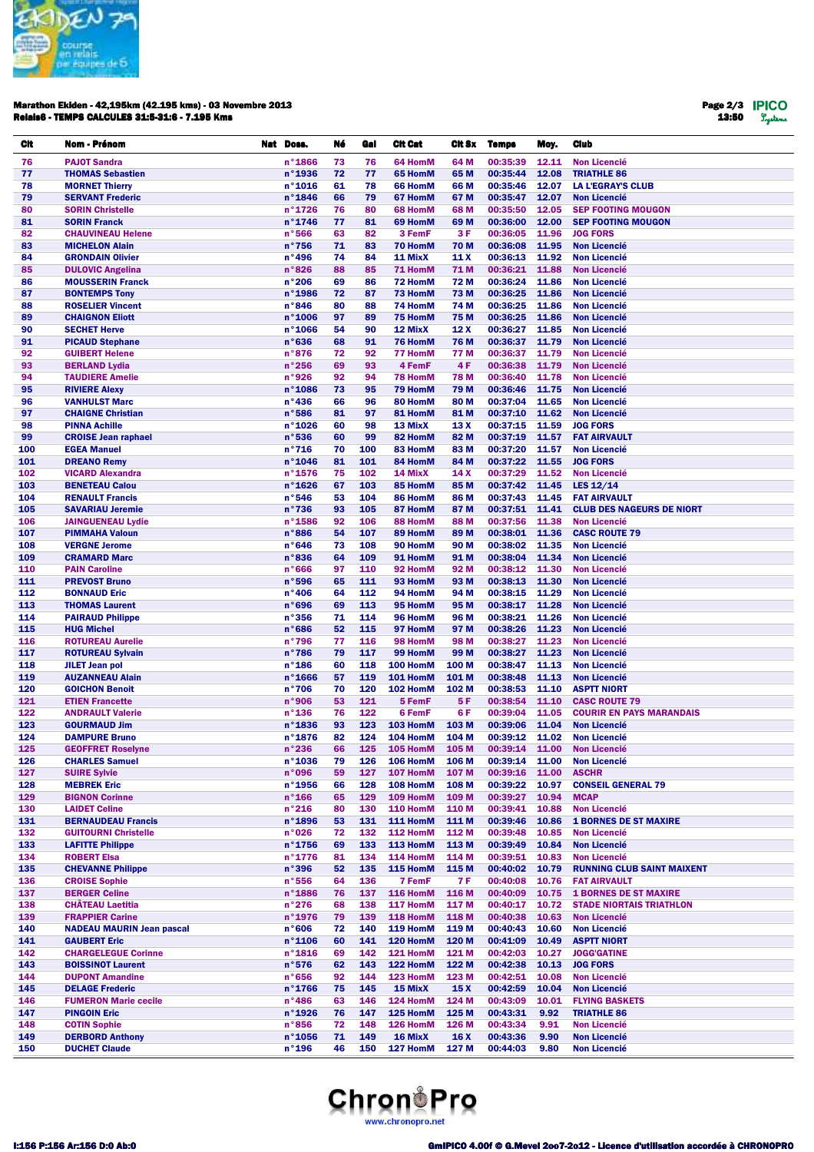

## Marathon Ekiden - 42,195km (42.195 kms) - 03 Novembre 2013 Relais6 - TEMPS CALCULES 31:5-31:6 - 7.195 Kms

Page 2/3 13:50

| CIt        | Nom - Prénom                                            | Nat Doss.                            | Né       | Gal        | <b>Cit Cat</b>       | CIt Sx          | <b>Temps</b>         | Moy.           | <b>Club</b>                                |
|------------|---------------------------------------------------------|--------------------------------------|----------|------------|----------------------|-----------------|----------------------|----------------|--------------------------------------------|
| 76         | <b>PAJOT Sandra</b>                                     | $n^{\circ}$ 1866                     | 73       | 76         | 64 HomM              | 64 M            | 00:35:39             | 12.11          | <b>Non Licencié</b>                        |
| 77         | <b>THOMAS Sebastien</b>                                 | n°1936                               | 72       | 77         | 65 HomM              | 65 M            | 00:35:44             | 12.08          | <b>TRIATHLE 86</b>                         |
| 78         | <b>MORNET Thierry</b>                                   | n°1016                               | 61       | 78         | 66 HomM              | 66 M            | 00:35:46             | 12.07          | <b>LA L'EGRAY'S CLUB</b>                   |
| 79         | <b>SERVANT Frederic</b>                                 | n°1846                               | 66       | 79         | 67 HomM              | 67 M            | 00:35:47             | 12.07          | <b>Non Licencié</b>                        |
| 80         | <b>SORIN Christelle</b>                                 | $n^{\circ}$ 1726                     | 76       | 80         | 68 HomM              | 68 M            | 00:35:50             | 12.05          | <b>SEP FOOTING MOUGON</b>                  |
| 81         | <b>SORIN Franck</b>                                     | n°1746                               | 77       | 81         | 69 HomM              | 69 M            | 00:36:00             | 12.00          | <b>SEP FOOTING MOUGON</b>                  |
| 82         | <b>CHAUVINEAU Helene</b>                                | n°566                                | 63       | 82         | 3 FemF               | 3 F             | 00:36:05             | 11.96          | <b>JOG FORS</b>                            |
| 83         | <b>MICHELON Alain</b>                                   | $n^{\circ}756$                       | 71       | 83         | 70 HomM              | 70 M            | 00:36:08             | 11.95          | <b>Non Licencié</b>                        |
| 84         | <b>GRONDAIN Olivier</b>                                 | n°496                                | 74       | 84         | 11 MixX              | 11 X            | 00:36:13             | 11.92          | <b>Non Licencié</b>                        |
| 85         | <b>DULOVIC Angelina</b>                                 | n°826                                | 88       | 85         | 71 HomM              | 71 M            | 00:36:21             | 11.88          | <b>Non Licencié</b>                        |
| 86         | <b>MOUSSERIN Franck</b>                                 | n°206                                | 69       | 86         | 72 HomM              | 72 M            | 00:36:24             | 11.86          | <b>Non Licencié</b>                        |
| 87<br>88   | <b>BONTEMPS Tony</b><br><b>ROSELIER Vincent</b>         | $n^{\circ}$ 1986<br>n°846            | 72<br>80 | 87<br>88   | 73 HomM<br>74 HomM   | 73 M<br>74 M    | 00:36:25<br>00:36:25 | 11.86<br>11.86 | <b>Non Licencié</b><br><b>Non Licencié</b> |
| 89         | <b>CHAIGNON Eliott</b>                                  | $n^{\circ}$ 1006                     | 97       | 89         | 75 HomM              | 75 M            | 00:36:25             | 11.86          | <b>Non Licencié</b>                        |
| 90         | <b>SECHET Herve</b>                                     | n°1066                               | 54       | 90         | 12 MixX              | 12 X            | 00:36:27             | 11.85          | <b>Non Licencié</b>                        |
| 91         | <b>PICAUD Stephane</b>                                  | n°636                                | 68       | 91         | 76 HomM              | <b>76 M</b>     | 00:36:37             | 11.79          | <b>Non Licencié</b>                        |
| 92         | <b>GUIBERT Helene</b>                                   | n°876                                | 72       | 92         | 77 HomM              | 77 M            | 00:36:37             | 11.79          | <b>Non Licencié</b>                        |
| 93         | <b>BERLAND Lydia</b>                                    | n°256                                | 69       | 93         | 4 FemF               | 4F              | 00:36:38             | 11.79          | <b>Non Licencié</b>                        |
| 94         | <b>TAUDIERE Amelie</b>                                  | n°926                                | 92       | 94         | 78 HomM              | <b>78 M</b>     | 00:36:40             | 11.78          | <b>Non Licencié</b>                        |
| 95         | <b>RIVIERE Alexy</b>                                    | $n^{\circ}$ 1086                     | 73       | 95         | 79 HomM              | 79 M            | 00:36:46             | 11.75          | <b>Non Licencié</b>                        |
| 96         | <b>VANHULST Marc</b>                                    | $n^{\circ}$ 436                      | 66       | 96         | 80 HomM              | 80 M            | 00:37:04             | 11.65          | <b>Non Licencié</b>                        |
| 97         | <b>CHAIGNE Christian</b>                                | n°586                                | 81       | 97         | 81 HomM              | 81 M            | 00:37:10             | 11.62          | <b>Non Licencié</b>                        |
| 98         | <b>PINNA Achille</b>                                    | $n^{\circ}$ 1026                     | 60       | 98         | 13 MixX              | 13 X            | 00:37:15             | 11.59          | <b>JOG FORS</b>                            |
| 99         | <b>CROISE Jean raphael</b>                              | n°536                                | 60       | 99         | 82 HomM              | 82 M            | 00:37:19             | 11.57          | <b>FAT AIRVAULT</b>                        |
| 100        | <b>EGEA Manuel</b>                                      | $n^{\circ}716$                       | 70       | 100        | 83 HomM              | 83 M            | 00:37:20             | 11.57          | <b>Non Licencié</b>                        |
| 101        | <b>DREANO Remy</b>                                      | n°1046                               | 81       | 101        | 84 HomM              | 84 M            | 00:37:22             | 11.55<br>11.52 | <b>JOG FORS</b>                            |
| 102<br>103 | <b>VICARD Alexandra</b><br><b>BENETEAU Calou</b>        | $n^{\circ}$ 1576<br>$n^{\circ}$ 1626 | 75<br>67 | 102<br>103 | 14 MixX<br>85 HomM   | 14 X<br>85 M    | 00:37:29<br>00:37:42 | 11.45          | <b>Non Licencié</b><br>LES $12/14$         |
| 104        | <b>RENAULT Francis</b>                                  | n°546                                | 53       | 104        | 86 HomM              | 86 M            | 00:37:43             | 11.45          | <b>FAT AIRVAULT</b>                        |
| 105        | <b>SAVARIAU Jeremie</b>                                 | $n^{\circ}736$                       | 93       | 105        | 87 HomM              | 87 M            | 00:37:51             | 11.41          | <b>CLUB DES NAGEURS DE NIORT</b>           |
| 106        | <b>JAINGUENEAU Lydie</b>                                | n°1586                               | 92       | 106        | 88 HomM              | 88 M            | 00:37:56             | 11.38          | <b>Non Licencié</b>                        |
| 107        | <b>PIMMAHA Valoun</b>                                   | n°886                                | 54       | 107        | 89 HomM              | 89 M            | 00:38:01             | 11.36          | <b>CASC ROUTE 79</b>                       |
| 108        | <b>VERGNE Jerome</b>                                    | n°646                                | 73       | 108        | 90 HomM              | 90 M            | 00:38:02             | 11.35          | <b>Non Licencié</b>                        |
| 109        | <b>CRAMARD Marc</b>                                     | n°836                                | 64       | 109        | 91 HomM              | 91 M            | 00:38:04             | 11.34          | <b>Non Licencié</b>                        |
| 110        | <b>PAIN Caroline</b>                                    | n°666                                | 97       | 110        | 92 HomM              | 92 M            | 00:38:12             | 11.30          | <b>Non Licencié</b>                        |
| 111        | <b>PREVOST Bruno</b>                                    | n°596                                | 65       | 111        | 93 HomM              | 93 M            | 00:38:13             | 11.30          | <b>Non Licencié</b>                        |
| 112        | <b>BONNAUD Eric</b>                                     | n°406                                | 64       | 112        | 94 HomM              | 94 M            | 00:38:15             | 11.29          | <b>Non Licencié</b>                        |
| 113        | <b>THOMAS Laurent</b>                                   | n°696                                | 69       | 113        | 95 HomM              | 95 M            | 00:38:17             | 11.28          | <b>Non Licencié</b>                        |
| 114<br>115 | <b>PAIRAUD Philippe</b>                                 | $n^{\circ}356$<br>n°686              | 71<br>52 | 114<br>115 | 96 HomM<br>97 HomM   | 96 M<br>97 M    | 00:38:21<br>00:38:26 | 11.26<br>11.23 | <b>Non Licencié</b><br><b>Non Licencié</b> |
| 116        | <b>HUG Michel</b><br><b>ROTUREAU Aurelie</b>            | n°796                                | 77       | 116        | 98 HomM              | 98 M            | 00:38:27             | 11.23          | <b>Non Licencié</b>                        |
| 117        | <b>ROTUREAU Sylvain</b>                                 | n°786                                | 79       | 117        | 99 HomM              | 99 M            | 00:38:27             | 11.23          | <b>Non Licencié</b>                        |
| 118        | <b>JILET Jean pol</b>                                   | $n^{\circ}$ 186                      | 60       | 118        | 100 HomM             | 100 M           | 00:38:47             | 11.13          | <b>Non Licencié</b>                        |
| 119        | <b>AUZANNEAU Alain</b>                                  | $n^{\circ}$ 1666                     | 57       | 119        | 101 HomM             | 101 M           | 00:38:48             | 11.13          | <b>Non Licencié</b>                        |
| 120        | <b>GOICHON Benoit</b>                                   | $n^{\circ}706$                       | 70       | 120        | 102 HomM             | 102 M           | 00:38:53             | 11.10          | <b>ASPTT NIORT</b>                         |
| 121        | <b>ETIEN Francette</b>                                  | n°906                                | 53       | 121        | 5 FemF               | 5 F             | 00:38:54             | 11.10          | <b>CASC ROUTE 79</b>                       |
| 122        | <b>ANDRAULT Valerie</b>                                 | $n^{\circ}$ 136                      | 76       | 122        | 6 FemF               | 6 F             | 00:39:04             | 11.05          | <b>COURIR EN PAYS MARANDAIS</b>            |
| 123        | <b>GOURMAUD Jim</b>                                     | n°1836                               | 93       | 123        | 103 HomM             | 103 M           | 00:39:06             | 11.04          | <b>Non Licencié</b>                        |
| 124        | <b>DAMPURE Bruno</b>                                    | n°1876                               | 82       | 124        | 104 HomM             | 104 M           | 00:39:12 11.02       |                | <b>Non Licencié</b>                        |
| 125        | <b>GEOFFRET Roselyne</b>                                | n°236                                | 66       |            | 125 105 HomM         | 105 M           |                      |                | 00:39:14 11.00 Non Licencié                |
| 126        | <b>CHARLES Samuel</b>                                   | $n^{\circ}$ 1036                     | 79       | 126        | 106 HomM             | 106 M           | 00:39:14             | 11.00          | <b>Non Licencié</b>                        |
| 127<br>128 | <b>SUIRE Sylvie</b><br><b>MEBREK Eric</b>               | n°096<br>n°1956                      | 59<br>66 | 127<br>128 | 107 HomM<br>108 HomM | 107 M<br>108 M  | 00:39:16<br>00:39:22 | 11.00<br>10.97 | <b>ASCHR</b><br><b>CONSEIL GENERAL 79</b>  |
| 129        | <b>BIGNON Corinne</b>                                   | $n^{\circ}$ 166                      | 65       | 129        | 109 HomM             | 109 M           | 00:39:27             | 10.94          | <b>MCAP</b>                                |
| 130        | <b>LAIDET Celine</b>                                    | n°216                                | 80       | 130        | <b>110 HomM</b>      | 110 M           | 00:39:41             | 10.88          | <b>Non Licencié</b>                        |
| 131        | <b>BERNAUDEAU Francis</b>                               | n°1896                               | 53       | 131        | 111 HomM             | 111 M           | 00:39:46             | 10.86          | <b>1 BORNES DE ST MAXIRE</b>               |
| 132        | <b>GUITOURNI Christelle</b>                             | n°026                                | 72       | 132        | 112 HomM             | 112 M           | 00:39:48             | 10.85          | <b>Non Licencié</b>                        |
| 133        | <b>LAFITTE Philippe</b>                                 | $n^{\circ}$ 1756                     | 69       | 133        | 113 HomM             | 113 M           | 00:39:49             | 10.84          | <b>Non Licencié</b>                        |
| 134        | <b>ROBERT Elsa</b>                                      | $n^{\circ}$ 1776                     | 81       | 134        | 114 HomM             | 114 M           | 00:39:51             | 10.83          | <b>Non Licencié</b>                        |
| 135        | <b>CHEVANNE Philippe</b>                                | n°396                                | 52       | 135        | 115 HomM             | 115 M           | 00:40:02             | 10.79          | <b>RUNNING CLUB SAINT MAIXENT</b>          |
| 136        | <b>CROISE Sophie</b>                                    | n°556                                | 64       | 136        | 7 FemF               | <b>7F</b>       | 00:40:08             | 10.76          | <b>FAT AIRVAULT</b>                        |
| 137        | <b>BERGER Celine</b>                                    | $n^{\circ}$ 1886                     | 76       | 137        | 116 HomM             | 116 M           | 00:40:09             | 10.75          | <b>1 BORNES DE ST MAXIRE</b>               |
| 138        | <b>CHÂTEAU Laetitia</b>                                 | n°276                                | 68       | 138        | 117 HomM             | 117 M           | 00:40:17             | 10.72          | <b>STADE NIORTAIS TRIATHLON</b>            |
| 139        | <b>FRAPPIER Carine</b>                                  | n°1976                               | 79       | 139        | 118 HomM             | 118 M           | 00:40:38             | 10.63          | <b>Non Licencié</b>                        |
| 140<br>141 | <b>NADEAU MAURIN Jean pascal</b><br><b>GAUBERT Eric</b> | n°606<br>$n^{\circ}$ 1106            | 72<br>60 | 140<br>141 | 119 HomM<br>120 HomM | 119 M<br>120 M  | 00:40:43<br>00:41:09 | 10.60<br>10.49 | <b>Non Licencié</b><br><b>ASPTT NIORT</b>  |
| 142        | <b>CHARGELEGUE Corinne</b>                              | $n^{\circ}$ 1816                     | 69       | 142        | 121 HomM             | 121 M           | 00:42:03             | 10.27          | <b>JOGG'GATINE</b>                         |
| 143        | <b>BOISSINOT Laurent</b>                                | n°576                                | 62       | 143        | 122 HomM             | 122 M           | 00:42:38             | 10.13          | <b>JOG FORS</b>                            |
| 144        | <b>DUPONT Amandine</b>                                  | n°656                                | 92       | 144        | 123 HomM             | 123 M           | 00:42:51             | 10.08          | <b>Non Licencié</b>                        |
| 145        | <b>DELAGE Frederic</b>                                  | $n^{\circ}$ 1766                     | 75       | 145        | 15 MixX              | 15 <sub>X</sub> | 00:42:59             | 10.04          | <b>Non Licencié</b>                        |
| 146        | <b>FUMERON Marie cecile</b>                             | $n^{\circ}$ 486                      | 63       | 146        | 124 HomM             | 124 M           | 00:43:09             | 10.01          | <b>FLYING BASKETS</b>                      |
| 147        | <b>PINGOIN Eric</b>                                     | $n^{\circ}$ 1926                     | 76       | 147        | 125 HomM             | 125 M           | 00:43:31             | 9.92           | <b>TRIATHLE 86</b>                         |
| 148        | <b>COTIN Sophie</b>                                     | n°856                                | 72       | 148        | 126 HomM             | 126 M           | 00:43:34             | 9.91           | <b>Non Licencié</b>                        |
| 149        | <b>DERBORD Anthony</b>                                  | $n°$ 1056                            | 71       | 149        | 16 MixX              | 16 X            | 00:43:36             | 9.90           | <b>Non Licencié</b>                        |
| 150        | <b>DUCHET Claude</b>                                    | $n^{\circ}$ 196                      | 46       | 150        | 127 HomM             | 127 M           | 00:44:03             | 9.80           | <b>Non Licencié</b>                        |